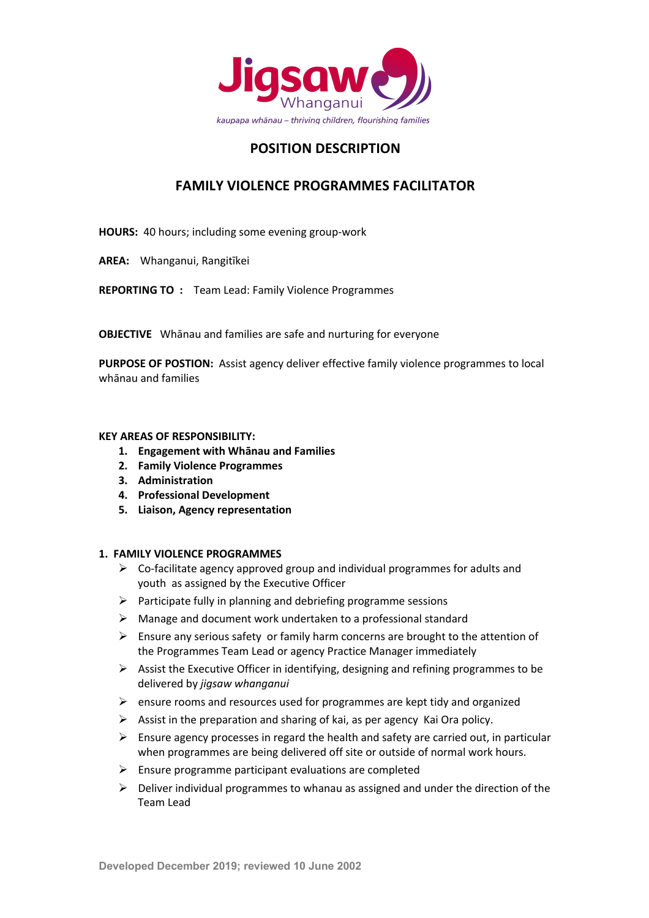

# **POSITION DESCRIPTION**

## **FAMILY VIOLENCE PROGRAMMES FACILITATOR**

**HOURS:** 40 hours; including some evening group-work

**AREA:** Whanganui, Rangitīkei

**REPORTING TO :** Team Lead: Family Violence Programmes

**OBJECTIVE** Whānau and families are safe and nurturing for everyone

**PURPOSE OF POSTION:** Assist agency deliver effective family violence programmes to local whānau and families

#### **KEY AREAS OF RESPONSIBILITY:**

- **1. Engagement with Whānau and Families**
- **2. Family Violence Programmes**
- **3. Administration**
- **4. Professional Development**
- **5. Liaison, Agency representation**

#### **1. FAMILY VIOLENCE PROGRAMMES**

- $\triangleright$  Co-facilitate agency approved group and individual programmes for adults and youth as assigned by the Executive Officer
- $\triangleright$  Participate fully in planning and debriefing programme sessions
- $\triangleright$  Manage and document work undertaken to a professional standard
- $\triangleright$  Ensure any serious safety or family harm concerns are brought to the attention of the Programmes Team Lead or agency Practice Manager immediately
- $\triangleright$  Assist the Executive Officer in identifying, designing and refining programmes to be delivered by *jigsaw whanganui*
- $\triangleright$  ensure rooms and resources used for programmes are kept tidy and organized
- $\triangleright$  Assist in the preparation and sharing of kai, as per agency Kai Ora policy.
- $\triangleright$  Ensure agency processes in regard the health and safety are carried out, in particular when programmes are being delivered off site or outside of normal work hours.
- $\triangleright$  Ensure programme participant evaluations are completed
- $\triangleright$  Deliver individual programmes to whanau as assigned and under the direction of the Team Lead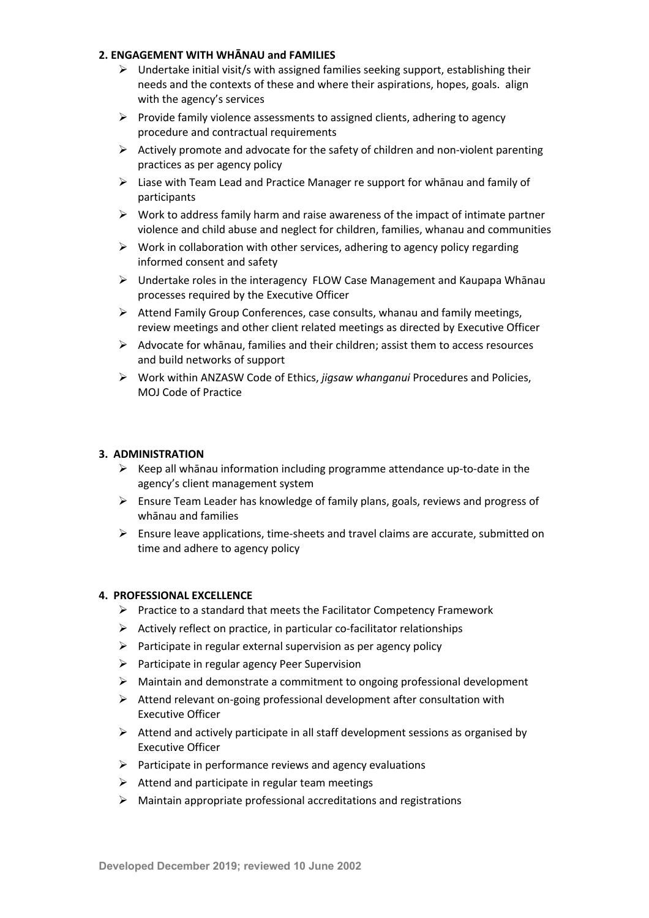#### **2. ENGAGEMENT WITH WHĀNAU and FAMILIES**

- $\triangleright$  Undertake initial visit/s with assigned families seeking support, establishing their needs and the contexts of these and where their aspirations, hopes, goals. align with the agency's services
- $\triangleright$  Provide family violence assessments to assigned clients, adhering to agency procedure and contractual requirements
- $\triangleright$  Actively promote and advocate for the safety of children and non-violent parenting practices as per agency policy
- $\triangleright$  Liase with Team Lead and Practice Manager re support for whanau and family of participants
- $\triangleright$  Work to address family harm and raise awareness of the impact of intimate partner violence and child abuse and neglect for children, families, whanau and communities
- $\triangleright$  Work in collaboration with other services, adhering to agency policy regarding informed consent and safety
- $\triangleright$  Undertake roles in the interagency FLOW Case Management and Kaupapa Whānau processes required by the Executive Officer
- $\triangleright$  Attend Family Group Conferences, case consults, whanau and family meetings, review meetings and other client related meetings as directed by Executive Officer
- $\triangleright$  Advocate for whānau, families and their children; assist them to access resources and build networks of support
- Ø Work within ANZASW Code of Ethics, *jigsaw whanganui* Procedures and Policies, MOJ Code of Practice

#### **3. ADMINISTRATION**

- $\triangleright$  Keep all whānau information including programme attendance up-to-date in the agency's client management system
- $\triangleright$  Ensure Team Leader has knowledge of family plans, goals, reviews and progress of whānau and families
- $\triangleright$  Ensure leave applications, time-sheets and travel claims are accurate, submitted on time and adhere to agency policy

#### **4. PROFESSIONAL EXCELLENCE**

- $\triangleright$  Practice to a standard that meets the Facilitator Competency Framework
- $\triangleright$  Actively reflect on practice, in particular co-facilitator relationships
- $\triangleright$  Participate in regular external supervision as per agency policy
- $\triangleright$  Participate in regular agency Peer Supervision
- $\triangleright$  Maintain and demonstrate a commitment to ongoing professional development
- $\triangleright$  Attend relevant on-going professional development after consultation with Executive Officer
- $\triangleright$  Attend and actively participate in all staff development sessions as organised by Executive Officer
- $\triangleright$  Participate in performance reviews and agency evaluations
- $\triangleright$  Attend and participate in regular team meetings
- $\triangleright$  Maintain appropriate professional accreditations and registrations